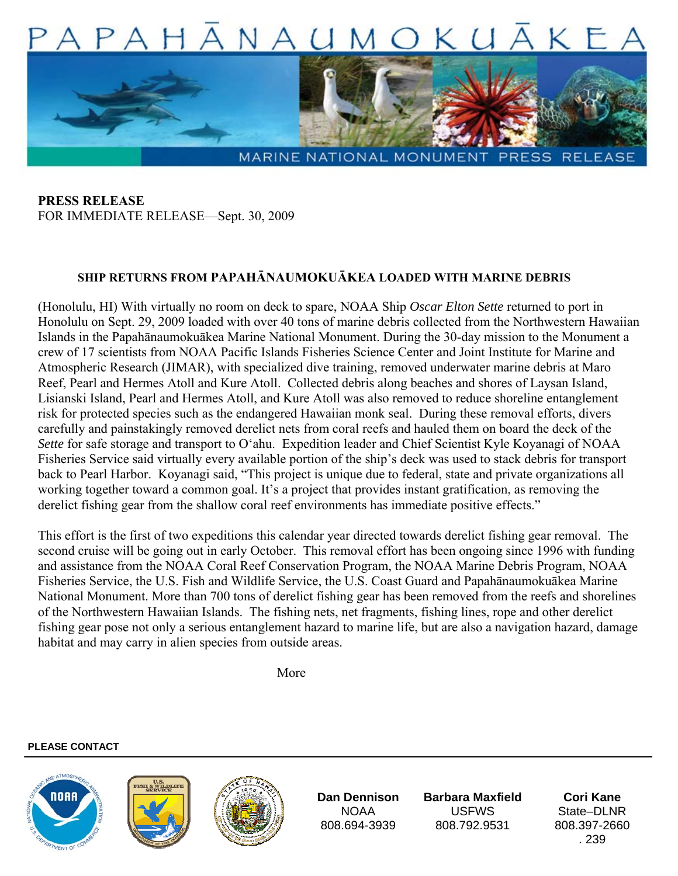

**PRESS RELEASE**  FOR IMMEDIATE RELEASE—Sept. 30, 2009

## **SHIP RETURNS FROM PAPAHĀNAUMOKUĀKEA LOADED WITH MARINE DEBRIS**

(Honolulu, HI) With virtually no room on deck to spare, NOAA Ship *Oscar Elton Sette* returned to port in Honolulu on Sept. 29, 2009 loaded with over 40 tons of marine debris collected from the Northwestern Hawaiian Islands in the Papahānaumokuākea Marine National Monument. During the 30-day mission to the Monument a crew of 17 scientists from NOAA Pacific Islands Fisheries Science Center and Joint Institute for Marine and Atmospheric Research (JIMAR), with specialized dive training, removed underwater marine debris at Maro Reef, Pearl and Hermes Atoll and Kure Atoll. Collected debris along beaches and shores of Laysan Island, Lisianski Island, Pearl and Hermes Atoll, and Kure Atoll was also removed to reduce shoreline entanglement risk for protected species such as the endangered Hawaiian monk seal. During these removal efforts, divers carefully and painstakingly removed derelict nets from coral reefs and hauled them on board the deck of the *Sette* for safe storage and transport to O'ahu. Expedition leader and Chief Scientist Kyle Koyanagi of NOAA Fisheries Service said virtually every available portion of the ship's deck was used to stack debris for transport back to Pearl Harbor. Koyanagi said, "This project is unique due to federal, state and private organizations all working together toward a common goal. It's a project that provides instant gratification, as removing the derelict fishing gear from the shallow coral reef environments has immediate positive effects."

This effort is the first of two expeditions this calendar year directed towards derelict fishing gear removal. The second cruise will be going out in early October. This removal effort has been ongoing since 1996 with funding and assistance from the NOAA Coral Reef Conservation Program, the NOAA Marine Debris Program, NOAA Fisheries Service, the U.S. Fish and Wildlife Service, the U.S. Coast Guard and Papahānaumokuākea Marine National Monument. More than 700 tons of derelict fishing gear has been removed from the reefs and shorelines of the Northwestern Hawaiian Islands. The fishing nets, net fragments, fishing lines, rope and other derelict fishing gear pose not only a serious entanglement hazard to marine life, but are also a navigation hazard, damage habitat and may carry in alien species from outside areas.

More and the More

## **PLEASE CONTACT**







**Dan Dennison**  NOAA 808.694-3939

**Barbara Maxfield**  USFWS 808.792.9531

**Cori Kane**  State–DI<sub>NR</sub> 808.397-2660 . 239